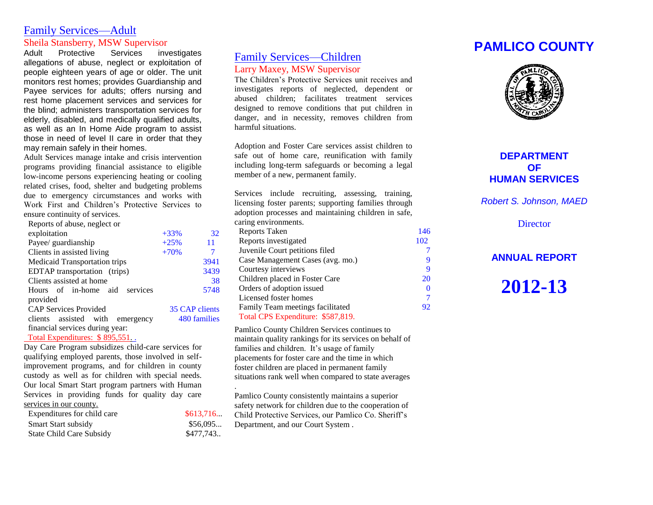### Family Services—Adult Sheila Stansberry, MSW Supervisor

Adult Protective Services investigates allegations of abuse, neglect or exploitation of people eighteen years of age or older. The unit monitors rest homes; provides Guardianship and Payee services for adults; offers nursing and rest home placement services and services for the blind; administers transportation services for elderly, disabled, and medically qualified adults, as well as an In Home Aide program to assist those in need of level II care in order that they may remain safely in their homes.

Adult Services manage intake and crisis intervention programs providing financial assistance to eligible low-income persons experiencing heating or cooling related crises, food, shelter and budgeting problems due to emergency circumstances and works with Work First and Children's Protective Services to ensure continuity of services.

| Reports of abuse, neglect or     |        |                |
|----------------------------------|--------|----------------|
| exploitation                     | $+33%$ | 32             |
| Payee/ guardianship              | $+25%$ | 11             |
| Clients in assisted living       | $+70%$ | 7              |
| Medicaid Transportation trips    |        | 3941           |
| EDTAP transportation (trips)     |        | 3439           |
| Clients assisted at home         |        | 38             |
| Hours of in-home aid<br>services |        | 5748           |
| provided                         |        |                |
| <b>CAP Services Provided</b>     |        | 35 CAP clients |
| clients assisted with emergency  |        | 480 families   |
| financial services during year:  |        |                |

Total Expenditures: \$ 895,551. .

Day Care Program subsidizes child-care services for qualifying employed parents, those involved in selfimprovement programs, and for children in county custody as well as for children with special needs. Our local Smart Start program partners with Human Services in providing funds for quality day care services in our county.

| Expenditures for child care     | \$613,716 |
|---------------------------------|-----------|
| <b>Smart Start subsidy</b>      | \$56,095  |
| <b>State Child Care Subsidy</b> | \$477,743 |

### Family Services—Children Larry Maxey, MSW Supervisor

The Children's Protective Services unit receives and investigates reports of neglected, dependent or abused children; facilitates treatment services designed to remove conditions that put children in danger, and in necessity, removes children from harmful situations.

Adoption and Foster Care services assist children to safe out of home care, reunification with family including long-term safeguards or becoming a legal member of a new, permanent family.

Services include recruiting, assessing, training, licensing foster parents; supporting families through adoption processes and maintaining children in safe, caring environments.

| Reports Taken                     | 146 |
|-----------------------------------|-----|
| Reports investigated              | 102 |
| Juvenile Court petitions filed    | 7   |
| Case Management Cases (avg. mo.)  | 9   |
| Courtesy interviews               | 9   |
| Children placed in Foster Care    | 20  |
| Orders of adoption issued         | 0   |
| Licensed foster homes             | 7   |
| Family Team meetings facilitated  | 92  |
| Total CPS Expenditure: \$587,819. |     |
|                                   |     |

Pamlico County Children Services continues to maintain quality rankings for its services on behalf of families and children. It's usage of family placements for foster care and the time in which foster children are placed in permanent family situations rank well when compared to state averages .

Pamlico County consistently maintains a superior safety network for children due to the cooperation of Child Protective Services, our Pamlico Co. Sheriff's Department, and our Court System .

# **PAMLICO COUNTY**



### **DEPARTMENT OF HUMAN SERVICES**

*Robert S. Johnson, MAED*

**Director** 

### **ANNUAL REPORT**

**2012-13**